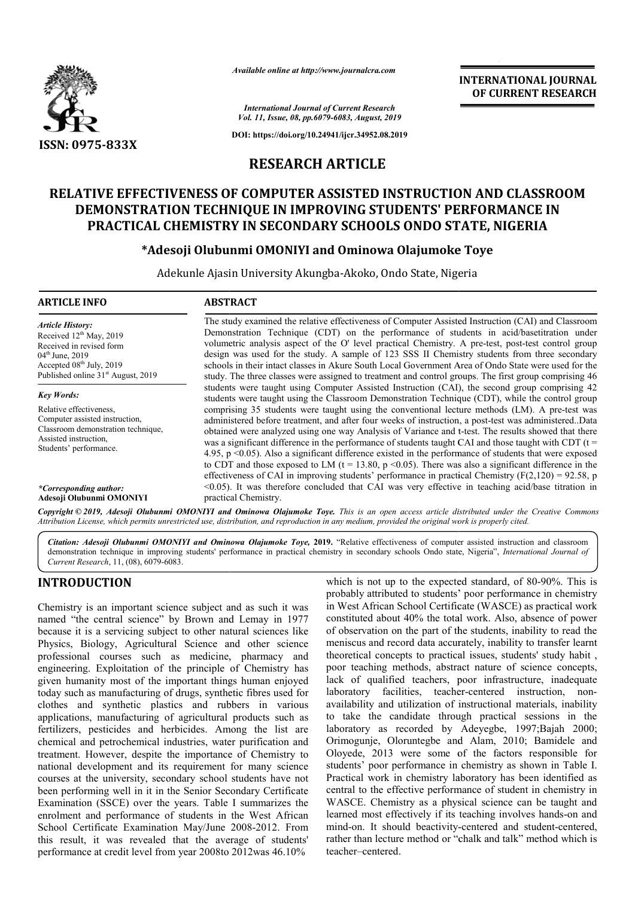

*Available online at http://www.journalcra.com*

**INTERNATIONAL JOURNAL OF CURRENT RESEARCH**

*International Journal of Current Research Vol. 11, Issue, 08, pp.6079-6083, August, 2019*

**DOI: https://doi.org/10.24941/ijcr.34952.08.2019**

# **RESEARCH ARTICLE**

## **RELATIVE EFFECTIVENESS OF COMPUTER ASSISTED INSTRUCTION AND CLASSROOM DEMONSTRATION TECHNIQUE IN IMPROVING STUDENTS' PERFORMANCE IN PRACTICAL CHEMISTRY IN SECONDARY SCHOOLS ONDO STATE, NIGERIA** ATIVE EFFECTIVENESS OF COMPUTER ASSISTED INSTRUCTION AND CLASSRO<br>DEMONSTRATION TECHNIQUE IN IMPROVING STUDENTS' PERFORMANCE IN<br>PRACTICAL CHEMISTRY IN SECONDARY SCHOOLS ONDO STATE, NIGERIA

# **\*Adesoji Olubunmi OMONIYI and Ominowa Olajumoke Toye Adesoji**

Adekunle Ajasin University Akungba Akungba-Akoko, Ondo State, Nigeria Akoko, State, Nigeria

### **ARTICLE INFO ABSTRACT**

*Article History:* Received 12<sup>th</sup> May, 2019 Received in revised form 04<sup>th</sup> June, 2019 Accepted  $08<sup>th</sup>$  July, 2019 Published online  $31<sup>st</sup>$  August, 2019

*Key Words:* Relative effectiveness, Computer assisted instruction, Classroom demonstration technique, Assisted instruction, Students' performance.

*\*Corresponding author:*  **Adesoji Olubunmi OMONIYI**

Demonstration Technique (CDT) on the performance of students in acid/basetitration under volumetric analysis aspect of the O' level practical Chemistry. A pre design was used for the study. A sample of 123 SSS II Chemistry students from three secondary design was used for the study. A sample of 123 SSS II Chemistry students from three secondary schools in their intact classes in Akure South Local Government Area of Ondo State were used for the study. The three classes were assigned to treatment and control groups. The first group comprising 46 students were taught using Computer Assisted Instruction (CAI), the second group comprising 42 students were taught using the Classroom Demonstration Technique (CDT), while the control group comprising 35 students were taught using the conventional lecture methods (LM). A pre-test was administered before treatment, and after four weeks of instruction, a post-test was administered. Data obtained were analyzed using one way Analysis of Variance and t-test. The results showed that there was a significant difference in the performance of students taught CAI and those taught with CDT ( $t =$ 4.95, p <0.05). Also a significant differ difference existed in the performance of students that were exposed to CDT and those exposed to LM (t = 13.80, p  $\leq$  0.05). There was also a significant difference in the effectiveness of CAI in improving students' performance in practical Chemistry ( $F(2,120) = 92.58$ , p  $\leq$  0.05). It was therefore concluded that CAI was very effective in teaching acid/base titration in practical Chemistry. The study examined the relative effectiveness of Computer Assisted Instruction (CAI) and Classroom<br>Demonstration Technique (CDT) on the performance of students in acid/basetitration under<br>volumetric analysis aspect of the study. The three classes were assigned to treatment and control groups. The first group comprising 46 students were taught using Computer Assisted Instruction (CAI), the second group comprising 42 students were taught usin 4.95, p <0.05). Also a significant difference existed in the performance of students that were exposed to CDT and those exposed to LM ( $t = 13.80$ , p <0.05). There was also a significant difference in the effectiveness of

The study examined the relative effectiveness of Computer Assisted Instruction (CAI) and Classroom

Copyright © 2019, Adesoji Olubunmi OMONIYI and Ominowa Olajumoke Toye. This is an open access article distributed under the Creative Commons Attribution License, which permits unrestricted use, distribution, and reproduction in any medium, provided the original work is properly cited.

Citation: Adesoji Olubunmi OMONIYI and Ominowa Olajumoke Toye, 2019. "Relative effectiveness of computer assisted instruction and classroom Citation: Adesoji Olubunmi OMONIYI and Ominowa Olajumoke Toye, 2019. "Relative effectiveness of computer assisted instruction and classroom demonstration technique in improving students' performance in practical chemistry *Current Research*, 11, (08), 6079-6083.

# **INTRODUCTION**

Chemistry is an important science subject and as such it was named "the central science" by Brown and Lemay in 1977 because it is a servicing subject to other natural sciences like Physics, Biology, Agricultural Science and other science professional courses such as medicine, pharmacy and engineering. Exploitation of the principle of Chemistry has given humanity most of the important things human enjoyed today such as manufacturing of drugs, synthetic fibres used for clothes and synthetic plastics and rubbers in various applications, manufacturing of agricultural products such as fertilizers, pesticides and herbicides. Among the list are chemical and petrochemical industries, water pu treatment. However, despite the importance of Chemistry to national development and its requirement for many science courses at the university, secondary school students have not been performing well in it in the Senior Secondary Certificate Examination (SSCE) over the years. Table I summarizes the enrolment and performance of students in the West African School Certificate Examination May/June 2008 2008-2012. From this result, it was revealed that the average of students' performance at credit level from year 2008to 2012was 46.10% f drugs, synthetic fibres used for<br>tics and rubbers in various<br>of agricultural products such as<br>erbicides. Among the list are<br>ndustries, water purification and

which is not up to the expected standard, of 80-90%. This is probably attributed to students' poor performance in chemistry in West African School Certificate (WASCE) as practical work constituted about 40% the total work. Also, absence of power constituted about 40% the total work. Also, absence of power of observation on the part of the students, inability to read the meniscus and record data accurately, inability to transfer learnt theoretical concepts to practical issues, students' study habit, poor teaching methods, abstract nature of science concepts, lack of qualified teachers, poor infrastructure, inadequate laboratory facilities, teacher-centered instruction, nonavailability and utilization of instructional materials, inability to take the candidate through practical sessions in the laboratory as recorded by Adeyegbe, 1997;Bajah 2000; Orimogunje, Oloruntegbe and Alam, 2010; Bamidele and Oloyede, 2013 were some of the factors responsible for Oloyede, 2013 were some of the factors responsible for students' poor performance in chemistry as shown in Table I. Practical work in chemistry laboratory has been identified as Practical work in chemistry laboratory has been identified as central to the effective performance of student in chemistry in WASCE. Chemistry as a physical science can be taught and WASCE. Chemistry as a physical science can be taught and learned most effectively if its teaching involves hands-on and mind-on. It should beactivity-centered and student-centered, rather than lecture method or "chalk and talk" method which is teacher–centered. teaching methods, abstract nature of science concepts,<br>of qualified teachers, poor infrastructure, inadequate<br>tory facilities, teacher-centered instruction, nontake the candidate through practical sessions in the bratory as recorded by Adeyegbe, 1997; Bajah 2000; mogunje, Oloruntegbe and Alam, 2010; Bamidele and **INTERNATIONAL JOURNAL**<br> **INTERNATIONAL JOURNAL<br>
or CURRENT RESEARCH**<br> **Contains and the contained a Contained a Contained a Contained a**<br> **Contained a Contained a**<br> **Contained a**<br> **Contained a**<br> **Contained a**<br> **C**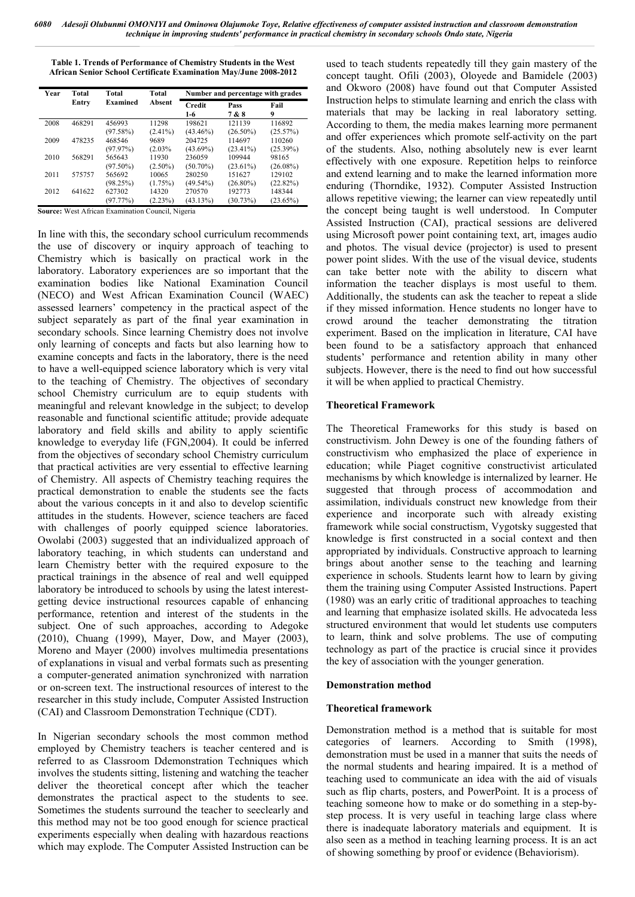**Table 1. Trends of Performance of Chemistry Students in the West African Senior School Certificate Examination May/June 2008-2012**

| Year | Total                              | Total                 | Total                  | Number and percentage with grades |                       |                       |  |
|------|------------------------------------|-----------------------|------------------------|-----------------------------------|-----------------------|-----------------------|--|
|      | <b>Examined</b><br>Absent<br>Entry |                       | <b>Credit</b><br>$1-6$ | Pass<br>7 & 8                     | Fail<br>9             |                       |  |
| 2008 | 468291                             | 456993<br>$(97.58\%)$ | 11298<br>$(2.41\%)$    | 198621<br>$(43.46\%)$             | 121139<br>$(26.50\%)$ | 116892<br>(25.57%)    |  |
| 2009 | 478235                             | 468546<br>(97.97%)    | 9689<br>(2.03%         | 204725<br>$(43.69\%)$             | 114697<br>$(23.41\%)$ | 110260<br>(25.39%)    |  |
| 2010 | 568291                             | 565643<br>$(97.50\%)$ | 11930<br>$(2.50\%)$    | 236059<br>$(50.70\%)$             | 109944<br>$(23.61\%)$ | 98165<br>$(26.08\%)$  |  |
| 2011 | 575757                             | 565692<br>(98.25%)    | 10065<br>(1.75%)       | 280250<br>$(49.54\%)$             | 151627<br>$(26.80\%)$ | 129102<br>(22.82%)    |  |
| 2012 | 641622                             | 627302<br>(97.77%)    | 14320<br>(2.23%)       | 270570<br>$(43.13\%)$             | 192773<br>(30.73%)    | 148344<br>$(23.65\%)$ |  |

**Source:** West African Examination Council, Nigeria

In line with this, the secondary school curriculum recommends the use of discovery or inquiry approach of teaching to Chemistry which is basically on practical work in the laboratory. Laboratory experiences are so important that the examination bodies like National Examination Council (NECO) and West African Examination Council (WAEC) assessed learners' competency in the practical aspect of the subject separately as part of the final year examination in secondary schools. Since learning Chemistry does not involve only learning of concepts and facts but also learning how to examine concepts and facts in the laboratory, there is the need to have a well-equipped science laboratory which is very vital to the teaching of Chemistry. The objectives of secondary school Chemistry curriculum are to equip students with meaningful and relevant knowledge in the subject; to develop reasonable and functional scientific attitude; provide adequate laboratory and field skills and ability to apply scientific knowledge to everyday life (FGN,2004). It could be inferred from the objectives of secondary school Chemistry curriculum that practical activities are very essential to effective learning of Chemistry. All aspects of Chemistry teaching requires the practical demonstration to enable the students see the facts about the various concepts in it and also to develop scientific attitudes in the students. However, science teachers are faced with challenges of poorly equipped science laboratories. Owolabi (2003) suggested that an individualized approach of laboratory teaching, in which students can understand and learn Chemistry better with the required exposure to the practical trainings in the absence of real and well equipped laboratory be introduced to schools by using the latest interestgetting device instructional resources capable of enhancing performance, retention and interest of the students in the subject. One of such approaches, according to Adegoke (2010), Chuang (1999), Mayer, Dow, and Mayer (2003), Moreno and Mayer (2000) involves multimedia presentations of explanations in visual and verbal formats such as presenting a computer-generated animation synchronized with narration or on-screen text. The instructional resources of interest to the researcher in this study include, Computer Assisted Instruction (CAI) and Classroom Demonstration Technique (CDT).

In Nigerian secondary schools the most common method employed by Chemistry teachers is teacher centered and is referred to as Classroom Ddemonstration Techniques which involves the students sitting, listening and watching the teacher deliver the theoretical concept after which the teacher demonstrates the practical aspect to the students to see. Sometimes the students surround the teacher to seeclearly and this method may not be too good enough for science practical experiments especially when dealing with hazardous reactions which may explode. The Computer Assisted Instruction can be

used to teach students repeatedly till they gain mastery of the concept taught. Ofili (2003), Oloyede and Bamidele (2003) and Okworo (2008) have found out that Computer Assisted Instruction helps to stimulate learning and enrich the class with materials that may be lacking in real laboratory setting. According to them, the media makes learning more permanent and offer experiences which promote self-activity on the part of the students. Also, nothing absolutely new is ever learnt effectively with one exposure. Repetition helps to reinforce and extend learning and to make the learned information more enduring (Thorndike, 1932). Computer Assisted Instruction allows repetitive viewing; the learner can view repeatedly until the concept being taught is well understood. In Computer Assisted Instruction (CAI), practical sessions are delivered using Microsoft power point containing text, art, images audio and photos. The visual device (projector) is used to present power point slides. With the use of the visual device, students can take better note with the ability to discern what information the teacher displays is most useful to them. Additionally, the students can ask the teacher to repeat a slide if they missed information. Hence students no longer have to crowd around the teacher demonstrating the titration experiment. Based on the implication in literature, CAI have been found to be a satisfactory approach that enhanced students' performance and retention ability in many other subjects. However, there is the need to find out how successful it will be when applied to practical Chemistry.

#### **Theoretical Framework**

The Theoretical Frameworks for this study is based on constructivism. John Dewey is one of the founding fathers of constructivism who emphasized the place of experience in education; while Piaget cognitive constructivist articulated mechanisms by which knowledge is internalized by learner. He suggested that through process of accommodation and assimilation, individuals construct new knowledge from their experience and incorporate such with already existing framework while social constructism, Vygotsky suggested that knowledge is first constructed in a social context and then appropriated by individuals. Constructive approach to learning brings about another sense to the teaching and learning experience in schools. Students learnt how to learn by giving them the training using Computer Assisted Instructions. Papert (1980) was an early critic of traditional approaches to teaching and learning that emphasize isolated skills. He advocateda less structured environment that would let students use computers to learn, think and solve problems. The use of computing technology as part of the practice is crucial since it provides the key of association with the younger generation.

#### **Demonstration method**

#### **Theoretical framework**

Demonstration method is a method that is suitable for most categories of learners. According to Smith (1998), demonstration must be used in a manner that suits the needs of the normal students and hearing impaired. It is a method of teaching used to communicate an idea with the aid of visuals such as flip charts, posters, and PowerPoint. It is a process of teaching someone how to make or do something in a step-bystep process. It is very useful in teaching large class where there is inadequate laboratory materials and equipment. It is also seen as a method in teaching learning process. It is an act of showing something by proof or evidence (Behaviorism).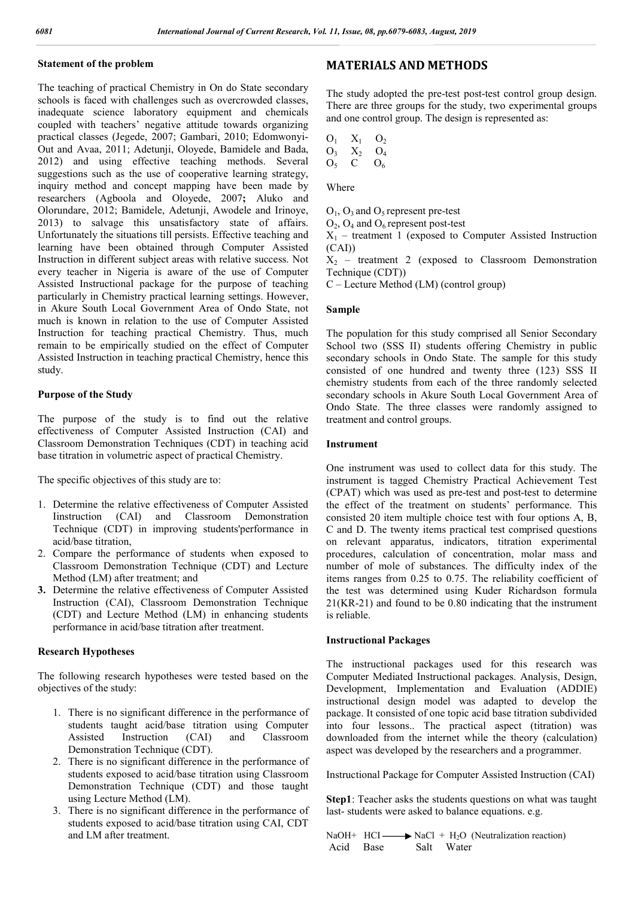## **Statement of the problem**

The teaching of practical Chemistry in On do State secondary schools is faced with challenges such as overcrowded classes, inadequate science laboratory equipment and chemicals coupled with teachers' negative attitude towards organizing practical classes (Jegede, 2007; Gambari, 2010; Edomwonyi-Out and Avaa, 2011; Adetunji, Oloyede, Bamidele and Bada, 2012) and using effective teaching methods. Several suggestions such as the use of cooperative learning strategy, inquiry method and concept mapping have been made by researchers (Agboola and Oloyede, 2007**;** Aluko and Olorundare, 2012; Bamidele, Adetunji, Awodele and Irinoye, 2013) to salvage this unsatisfactory state of affairs. Unfortunately the situations till persists. Effective teaching and learning have been obtained through Computer Assisted Instruction in different subject areas with relative success. Not every teacher in Nigeria is aware of the use of Computer Assisted Instructional package for the purpose of teaching particularly in Chemistry practical learning settings. However, in Akure South Local Government Area of Ondo State, not much is known in relation to the use of Computer Assisted Instruction for teaching practical Chemistry. Thus, much remain to be empirically studied on the effect of Computer Assisted Instruction in teaching practical Chemistry, hence this study.

## **Purpose of the Study**

The purpose of the study is to find out the relative effectiveness of Computer Assisted Instruction (CAI) and Classroom Demonstration Techniques (CDT) in teaching acid base titration in volumetric aspect of practical Chemistry.

The specific objectives of this study are to:

- 1. Determine the relative effectiveness of Computer Assisted Iinstruction (CAI) and Classroom Demonstration Technique (CDT) in improving students'performance in acid/base titration,
- 2. Compare the performance of students when exposed to Classroom Demonstration Technique (CDT) and Lecture Method (LM) after treatment; and
- **3.** Determine the relative effectiveness of Computer Assisted Instruction (CAI), Classroom Demonstration Technique (CDT) and Lecture Method (LM) in enhancing students performance in acid/base titration after treatment.

## **Research Hypotheses**

The following research hypotheses were tested based on the objectives of the study:

- 1. There is no significant difference in the performance of students taught acid/base titration using Computer Assisted Instruction (CAI) and Classroom Demonstration Technique (CDT).
- 2. There is no significant difference in the performance of students exposed to acid/base titration using Classroom Demonstration Technique (CDT) and those taught using Lecture Method (LM).
- 3. There is no significant difference in the performance of students exposed to acid/base titration using CAI, CDT and LM after treatment.

# **MATERIALS AND METHODS**

The study adopted the pre-test post-test control group design. There are three groups for the study, two experimental groups and one control group. The design is represented as:

 $O_1$   $X_1$   $O_2$  $O_3$   $X_2$   $O_4$  $O_5$  C  $O_6$ 

Where

 $O_1$ ,  $O_3$  and  $O_5$  represent pre-test

 $O_2$ ,  $O_4$  and  $O_6$  represent post-test

 $X_1$  – treatment 1 (exposed to Computer Assisted Instruction  $(CAI)$ 

 $X_2$  – treatment 2 (exposed to Classroom Demonstration Technique (CDT))

C – Lecture Method (LM) (control group)

## **Sample**

The population for this study comprised all Senior Secondary School two (SSS II) students offering Chemistry in public secondary schools in Ondo State. The sample for this study consisted of one hundred and twenty three (123) SSS II chemistry students from each of the three randomly selected secondary schools in Akure South Local Government Area of Ondo State. The three classes were randomly assigned to treatment and control groups.

## **Instrument**

One instrument was used to collect data for this study. The instrument is tagged Chemistry Practical Achievement Test (CPAT) which was used as pre-test and post-test to determine the effect of the treatment on students' performance. This consisted 20 item multiple choice test with four options A, B, C and D. The twenty items practical test comprised questions on relevant apparatus, indicators, titration experimental procedures, calculation of concentration, molar mass and number of mole of substances. The difficulty index of the items ranges from 0.25 to 0.75. The reliability coefficient of the test was determined using Kuder Richardson formula 21(KR-21) and found to be 0.80 indicating that the instrument is reliable.

## **Instructional Packages**

The instructional packages used for this research was Computer Mediated Instructional packages. Analysis, Design, Development, Implementation and Evaluation (ADDIE) instructional design model was adapted to develop the package. It consisted of one topic acid base titration subdivided into four lessons.. The practical aspect (titration) was downloaded from the internet while the theory (calculation) aspect was developed by the researchers and a programmer.

Instructional Package for Computer Assisted Instruction (CAI)

**Step1**: Teacher asks the students questions on what was taught last- students were asked to balance equations. e.g.

NaOH+ HCI  $\longrightarrow$  NaCl + H<sub>2</sub>O (Neutralization reaction)<br>Acid Base Salt Water Salt Water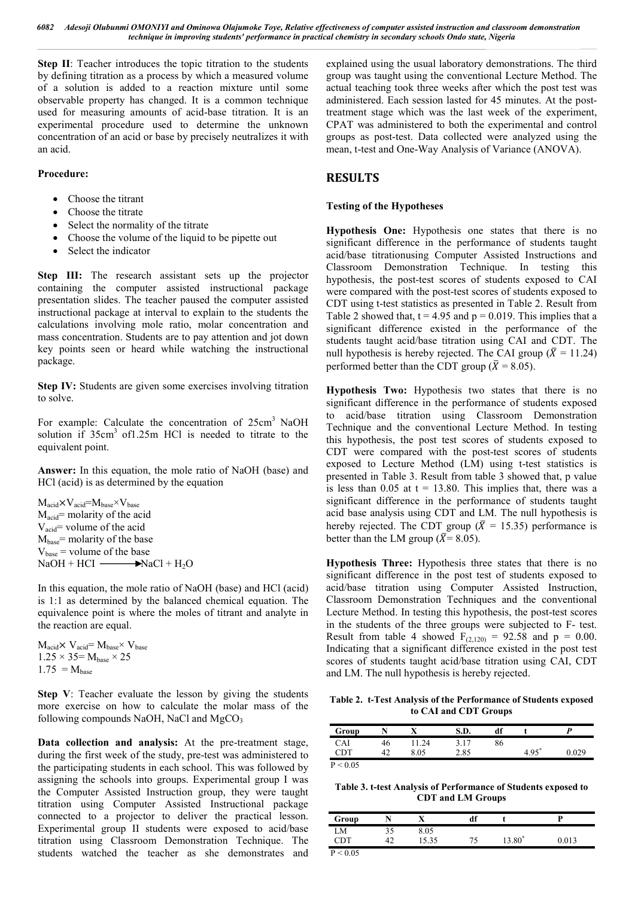*6082 Adesoji Olubunmi OMONIYI and Ominowa Olajumoke Toye, Relative effectiveness of computer assisted instruction and classroom demonstration technique in improving students' performance in practical chemistry in secondary schools Ondo state, Nigeria*

**Step II**: Teacher introduces the topic titration to the students by defining titration as a process by which a measured volume of a solution is added to a reaction mixture until some observable property has changed. It is a common technique used for measuring amounts of acid-base titration. It is an experimental procedure used to determine the unknown concentration of an acid or base by precisely neutralizes it with an acid.

## **Procedure:**

- Choose the titrant
- Choose the titrate
- Select the normality of the titrate
- Choose the volume of the liquid to be pipette out
- Select the indicator

**Step III:** The research assistant sets up the projector containing the computer assisted instructional package presentation slides. The teacher paused the computer assisted instructional package at interval to explain to the students the calculations involving mole ratio, molar concentration and mass concentration. Students are to pay attention and jot down key points seen or heard while watching the instructional package.

**Step IV:** Students are given some exercises involving titration to solve.

For example: Calculate the concentration of 25cm<sup>3</sup> NaOH solution if  $35cm<sup>3</sup>$  of 1.25m HCl is needed to titrate to the equivalent point.

**Answer:** In this equation, the mole ratio of NaOH (base) and HCl (acid) is as determined by the equation

 $M_{\text{acid}} \times V_{\text{acid}} = M_{\text{base}} \times V_{\text{base}}$  $M_{\text{acid}}$ = molarity of the acid  $V_{\text{acid}}$  volume of the acid  $M<sub>base</sub>$ = molarity of the base  $V_{base}$  = volume of the base  $NaOH + HCI$   $\longrightarrow$ NaCl + H<sub>2</sub>O

In this equation, the mole ratio of NaOH (base) and HCl (acid) is 1:1 as determined by the balanced chemical equation. The equivalence point is where the moles of titrant and analyte in the reaction are equal.

 $M_{\text{acid}} \times V_{\text{acid}} = M_{\text{base}} \times V_{\text{base}}$  $1.25 \times 35$  =  $M_{base} \times 25$  $1.75 = M_{base}$ 

**Step V**: Teacher evaluate the lesson by giving the students more exercise on how to calculate the molar mass of the following compounds NaOH, NaCl and  $MgCO<sub>3</sub>$ 

**Data collection and analysis:** At the pre-treatment stage, during the first week of the study, pre-test was administered to the participating students in each school. This was followed by assigning the schools into groups. Experimental group I was the Computer Assisted Instruction group, they were taught titration using Computer Assisted Instructional package connected to a projector to deliver the practical lesson. Experimental group II students were exposed to acid/base titration using Classroom Demonstration Technique. The students watched the teacher as she demonstrates and explained using the usual laboratory demonstrations. The third group was taught using the conventional Lecture Method. The actual teaching took three weeks after which the post test was administered. Each session lasted for 45 minutes. At the posttreatment stage which was the last week of the experiment, CPAT was administered to both the experimental and control groups as post-test. Data collected were analyzed using the mean, t-test and One-Way Analysis of Variance (ANOVA).

# **RESULTS**

## **Testing of the Hypotheses**

**Hypothesis One:** Hypothesis one states that there is no significant difference in the performance of students taught acid/base titrationusing Computer Assisted Instructions and Classroom Demonstration Technique. In testing this hypothesis, the post-test scores of students exposed to CAI were compared with the post-test scores of students exposed to CDT using t-test statistics as presented in Table 2. Result from Table 2 showed that,  $t = 4.95$  and  $p = 0.019$ . This implies that a significant difference existed in the performance of the students taught acid/base titration using CAI and CDT. The null hypothesis is hereby rejected. The CAI group ( $\bar{X} = 11.24$ ) performed better than the CDT group ( $\bar{X} = 8.05$ ).

**Hypothesis Two:** Hypothesis two states that there is no significant difference in the performance of students exposed to acid/base titration using Classroom Demonstration Technique and the conventional Lecture Method. In testing this hypothesis, the post test scores of students exposed to CDT were compared with the post-test scores of students exposed to Lecture Method (LM) using t-test statistics is presented in Table 3. Result from table 3 showed that, p value is less than 0.05 at  $t = 13.80$ . This implies that, there was a significant difference in the performance of students taught acid base analysis using CDT and LM. The null hypothesis is hereby rejected. The CDT group ( $\overline{X}$  = 15.35) performance is better than the LM group ( $\bar{X}$ = 8.05).

**Hypothesis Three:** Hypothesis three states that there is no significant difference in the post test of students exposed to acid/base titration using Computer Assisted Instruction, Classroom Demonstration Techniques and the conventional Lecture Method. In testing this hypothesis, the post-test scores in the students of the three groups were subjected to F- test. Result from table 4 showed  $F<sub>(2,120)</sub> = 92.58$  and  $p = 0.00$ . Indicating that a significant difference existed in the post test scores of students taught acid/base titration using CAI, CDT and LM. The null hypothesis is hereby rejected.

**Table 2. t-Test Analysis of the Performance of Students exposed to CAI and CDT Groups**

| Group    |    | x     | S.D. | df |         |       |
|----------|----|-------|------|----|---------|-------|
| CAI      | 46 | 11.24 | 3.17 | 86 |         |       |
| CDT      | 42 | 8.05  | 2.85 |    | $4.95*$ | 0.029 |
| P < 0.05 |    |       |      |    |         |       |

**Table 3. t-test Analysis of Performance of Students exposed to CDT and LM Groups**

| Group    |    | $\mathbf{v}$<br>л | df |                    | D     |
|----------|----|-------------------|----|--------------------|-------|
| M        | 35 | 8.05              |    |                    |       |
| CDT      | 42 | 15.35             |    | 13.80 <sup>*</sup> | 0.013 |
| P < 0.05 |    |                   |    |                    |       |